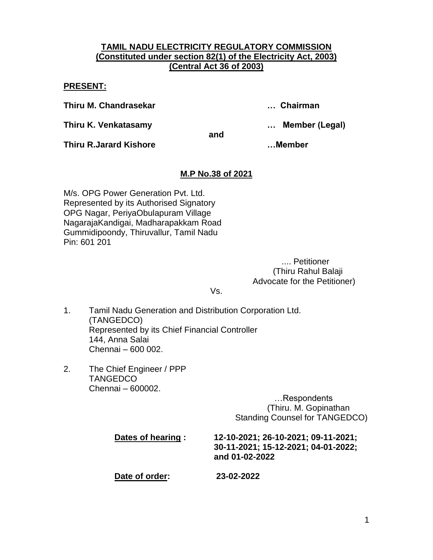## **TAMIL NADU ELECTRICITY REGULATORY COMMISSION (Constituted under section 82(1) of the Electricity Act, 2003) (Central Act 36 of 2003)**

**PRESENT:**

**Thiru M. Chandrasekar … Chairman**

**Thiru K. Venkatasamy … Member (Legal)**

**and**

**Thiru R.Jarard Kishore …Member**

# **M.P No.38 of 2021**

M/s. OPG Power Generation Pvt. Ltd. Represented by its Authorised Signatory OPG Nagar, PeriyaObulapuram Village NagarajaKandigai, Madharapakkam Road Gummidipoondy, Thiruvallur, Tamil Nadu Pin: 601 201

> .... Petitioner (Thiru Rahul Balaji Advocate for the Petitioner)

Vs.

- 1. Tamil Nadu Generation and Distribution Corporation Ltd. (TANGEDCO) Represented by its Chief Financial Controller 144, Anna Salai Chennai – 600 002.
- 2. The Chief Engineer / PPP **TANGEDCO** Chennai – 600002.

 …Respondents (Thiru. M. Gopinathan Standing Counsel for TANGEDCO)

| Dates of hearing : | 12-10-2021; 26-10-2021; 09-11-2021;<br>30-11-2021; 15-12-2021; 04-01-2022;<br>and 01-02-2022 |
|--------------------|----------------------------------------------------------------------------------------------|
| Date of order:     | 23-02-2022                                                                                   |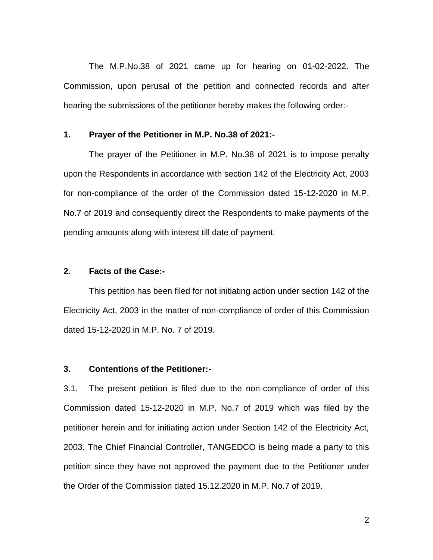The M.P.No.38 of 2021 came up for hearing on 01-02-2022. The Commission, upon perusal of the petition and connected records and after hearing the submissions of the petitioner hereby makes the following order:-

#### **1. Prayer of the Petitioner in M.P. No.38 of 2021:-**

The prayer of the Petitioner in M.P. No.38 of 2021 is to impose penalty upon the Respondents in accordance with section 142 of the Electricity Act, 2003 for non-compliance of the order of the Commission dated 15-12-2020 in M.P. No.7 of 2019 and consequently direct the Respondents to make payments of the pending amounts along with interest till date of payment.

#### **2. Facts of the Case:-**

This petition has been filed for not initiating action under section 142 of the Electricity Act, 2003 in the matter of non-compliance of order of this Commission dated 15-12-2020 in M.P. No. 7 of 2019.

#### **3. Contentions of the Petitioner:-**

3.1. The present petition is filed due to the non-compliance of order of this Commission dated 15-12-2020 in M.P. No.7 of 2019 which was filed by the petitioner herein and for initiating action under Section 142 of the Electricity Act, 2003. The Chief Financial Controller, TANGEDCO is being made a party to this petition since they have not approved the payment due to the Petitioner under the Order of the Commission dated 15.12.2020 in M.P. No.7 of 2019.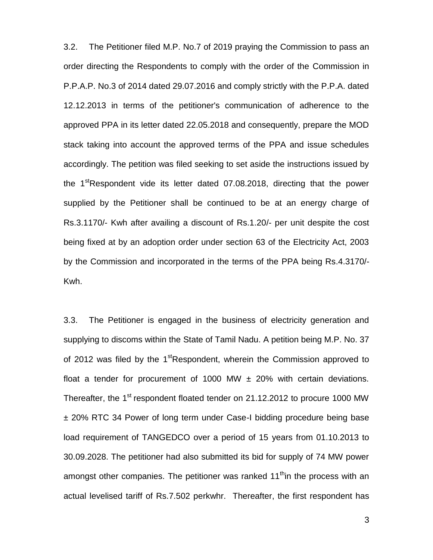3.2. The Petitioner filed M.P. No.7 of 2019 praying the Commission to pass an order directing the Respondents to comply with the order of the Commission in P.P.A.P. No.3 of 2014 dated 29.07.2016 and comply strictly with the P.P.A. dated 12.12.2013 in terms of the petitioner's communication of adherence to the approved PPA in its letter dated 22.05.2018 and consequently, prepare the MOD stack taking into account the approved terms of the PPA and issue schedules accordingly. The petition was filed seeking to set aside the instructions issued by the 1<sup>st</sup>Respondent vide its letter dated 07.08.2018, directing that the power supplied by the Petitioner shall be continued to be at an energy charge of Rs.3.1170/- Kwh after availing a discount of Rs.1.20/- per unit despite the cost being fixed at by an adoption order under section 63 of the Electricity Act, 2003 by the Commission and incorporated in the terms of the PPA being Rs.4.3170/- Kwh.

3.3. The Petitioner is engaged in the business of electricity generation and supplying to discoms within the State of Tamil Nadu. A petition being M.P. No. 37 of 2012 was filed by the 1<sup>st</sup>Respondent, wherein the Commission approved to float a tender for procurement of 1000 MW  $\pm$  20% with certain deviations. Thereafter, the 1<sup>st</sup> respondent floated tender on 21.12.2012 to procure 1000 MW ± 20% RTC 34 Power of long term under Case-I bidding procedure being base load requirement of TANGEDCO over a period of 15 years from 01.10.2013 to 30.09.2028. The petitioner had also submitted its bid for supply of 74 MW power amongst other companies. The petitioner was ranked  $11<sup>th</sup>$ in the process with an actual levelised tariff of Rs.7.502 perkwhr. Thereafter, the first respondent has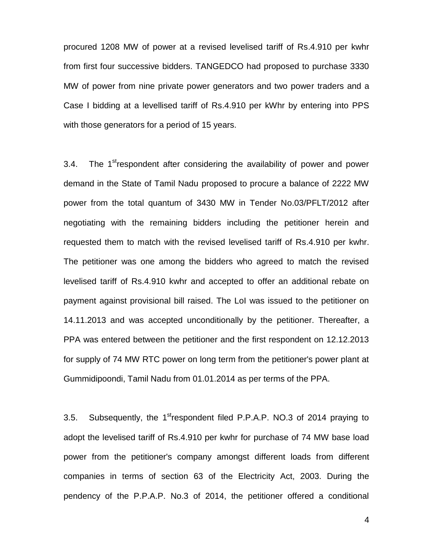procured 1208 MW of power at a revised levelised tariff of Rs.4.910 per kwhr from first four successive bidders. TANGEDCO had proposed to purchase 3330 MW of power from nine private power generators and two power traders and a Case I bidding at a levellised tariff of Rs.4.910 per kWhr by entering into PPS with those generators for a period of 15 years.

3.4. The 1<sup>st</sup>respondent after considering the availability of power and power demand in the State of Tamil Nadu proposed to procure a balance of 2222 MW power from the total quantum of 3430 MW in Tender No.03/PFLT/2012 after negotiating with the remaining bidders including the petitioner herein and requested them to match with the revised levelised tariff of Rs.4.910 per kwhr. The petitioner was one among the bidders who agreed to match the revised levelised tariff of Rs.4.910 kwhr and accepted to offer an additional rebate on payment against provisional bill raised. The LoI was issued to the petitioner on 14.11.2013 and was accepted unconditionally by the petitioner. Thereafter, a PPA was entered between the petitioner and the first respondent on 12.12.2013 for supply of 74 MW RTC power on long term from the petitioner's power plant at Gummidipoondi, Tamil Nadu from 01.01.2014 as per terms of the PPA.

3.5. Subsequently, the 1<sup>st</sup>respondent filed P.P.A.P. NO.3 of 2014 praying to adopt the levelised tariff of Rs.4.910 per kwhr for purchase of 74 MW base load power from the petitioner's company amongst different loads from different companies in terms of section 63 of the Electricity Act, 2003. During the pendency of the P.P.A.P. No.3 of 2014, the petitioner offered a conditional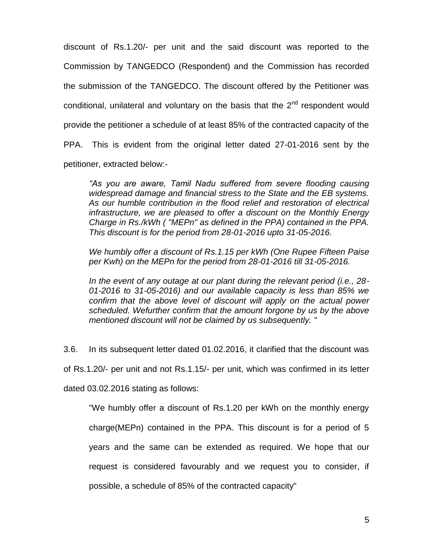discount of Rs.1.20/- per unit and the said discount was reported to the Commission by TANGEDCO (Respondent) and the Commission has recorded the submission of the TANGEDCO. The discount offered by the Petitioner was conditional, unilateral and voluntary on the basis that the  $2<sup>nd</sup>$  respondent would provide the petitioner a schedule of at least 85% of the contracted capacity of the PPA. This is evident from the original letter dated 27-01-2016 sent by the petitioner, extracted below:-

*"As you are aware, Tamil Nadu suffered from severe flooding causing widespread damage and financial stress to the State and the EB systems. As our humble contribution in the flood relief and restoration of electrical infrastructure, we are pleased to offer a discount on the Monthly Energy Charge in Rs./kWh ( "MEPn" as defined in the PPA) contained in the PPA. This discount is for the period from 28-01-2016 upto 31-05-2016.* 

*We humbly offer a discount of Rs.1.15 per kWh (One Rupee Fifteen Paise per Kwh) on the MEPn for the period from 28-01-2016 till 31-05-2016.* 

*In the event of any outage at our plant during the relevant period (i.e., 28- 01-2016 to 31-05-2016) and our available capacity is less than 85% we confirm that the above level of discount will apply on the actual power scheduled. Wefurther confirm that the amount forgone by us by the above mentioned discount will not be claimed by us subsequently. "* 

3.6. In its subsequent letter dated 01.02.2016, it clarified that the discount was of Rs.1.20/- per unit and not Rs.1.15/- per unit, which was confirmed in its letter dated 03.02.2016 stating as follows:

"We humbly offer a discount of Rs.1.20 per kWh on the monthly energy charge(MEPn) contained in the PPA. This discount is for a period of 5 years and the same can be extended as required. We hope that our request is considered favourably and we request you to consider, if possible, a schedule of 85% of the contracted capacity"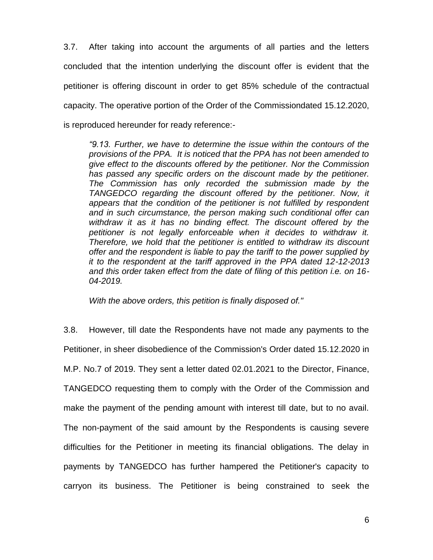3.7. After taking into account the arguments of all parties and the letters concluded that the intention underlying the discount offer is evident that the petitioner is offering discount in order to get 85% schedule of the contractual capacity. The operative portion of the Order of the Commissiondated 15.12.2020, is reproduced hereunder for ready reference:-

*"9.13. Further, we have to determine the issue within the contours of the provisions of the PPA. It is noticed that the PPA has not been amended to give effect to the discounts offered by the petitioner. Nor the Commission has passed any specific orders on the discount made by the petitioner. The Commission has only recorded the submission made by the TANGEDCO regarding the discount offered by the petitioner. Now, it appears that the condition of the petitioner is not fulfilled by respondent and in such circumstance, the person making such conditional offer can withdraw it as it has no binding effect. The discount offered by the petitioner is not legally enforceable when it decides to withdraw it. Therefore, we hold that the petitioner is entitled to withdraw its discount offer and the respondent is liable to pay the tariff to the power supplied by it to the respondent at the tariff approved in the PPA dated 12-12-2013 and this order taken effect from the date of filing of this petition i.e. on 16- 04-2019.*

*With the above orders, this petition is finally disposed of."* 

3.8. However, till date the Respondents have not made any payments to the Petitioner, in sheer disobedience of the Commission's Order dated 15.12.2020 in M.P. No.7 of 2019. They sent a letter dated 02.01.2021 to the Director, Finance, TANGEDCO requesting them to comply with the Order of the Commission and make the payment of the pending amount with interest till date, but to no avail. The non-payment of the said amount by the Respondents is causing severe difficulties for the Petitioner in meeting its financial obligations. The delay in payments by TANGEDCO has further hampered the Petitioner's capacity to carryon its business. The Petitioner is being constrained to seek the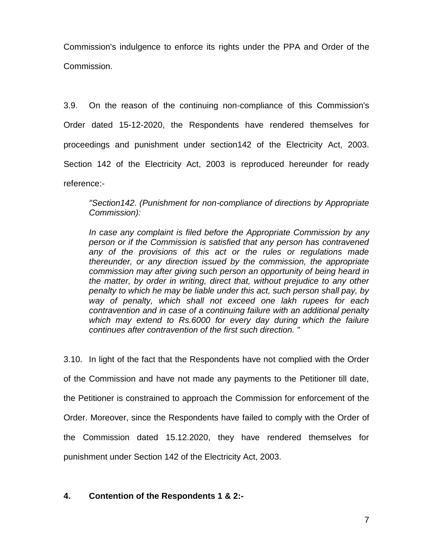Commission's indulgence to enforce its rights under the PPA and Order of the Commission.

3.9. On the reason of the continuing non-compliance of this Commission's Order dated 15-12-2020, the Respondents have rendered themselves for proceedings and punishment under section142 of the Electricity Act, 2003. Section 142 of the Electricity Act, 2003 is reproduced hereunder for ready reference:-

*"Section142. (Punishment for non-compliance of directions by Appropriate Commission):* 

*In case any complaint is filed before the Appropriate Commission by any person or if the Commission is satisfied that any person has contravened any of the provisions of this act or the rules or regulations made thereunder, or any direction issued by the commission, the appropriate commission may after giving such person an opportunity of being heard in the matter, by order in writing, direct that, without prejudice to any other penalty to which he may be liable under this act, such person shall pay, by way of penalty, which shall not exceed one lakh rupees for each contravention and in case of a continuing failure with an additional penalty which may extend to Rs.6000 for every day during which the failure continues after contravention of the first such direction. "* 

3.10. In light of the fact that the Respondents have not complied with the Order of the Commission and have not made any payments to the Petitioner till date, the Petitioner is constrained to approach the Commission for enforcement of the Order. Moreover, since the Respondents have failed to comply with the Order of the Commission dated 15.12.2020, they have rendered themselves for punishment under Section 142 of the Electricity Act, 2003.

## **4. Contention of the Respondents 1 & 2:-**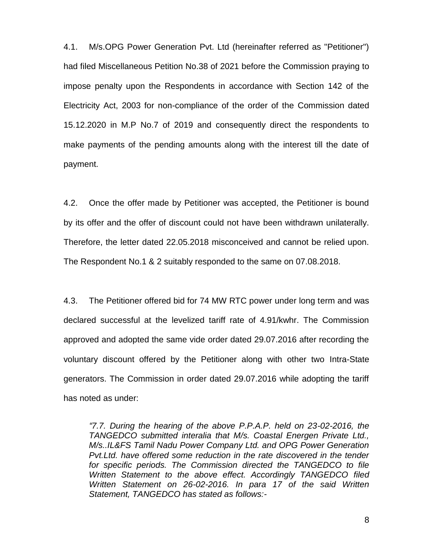4.1. M/s.OPG Power Generation Pvt. Ltd (hereinafter referred as "Petitioner") had filed Miscellaneous Petition No.38 of 2021 before the Commission praying to impose penalty upon the Respondents in accordance with Section 142 of the Electricity Act, 2003 for non-compliance of the order of the Commission dated 15.12.2020 in M.P No.7 of 2019 and consequently direct the respondents to make payments of the pending amounts along with the interest till the date of payment.

4.2. Once the offer made by Petitioner was accepted, the Petitioner is bound by its offer and the offer of discount could not have been withdrawn unilaterally. Therefore, the letter dated 22.05.2018 misconceived and cannot be relied upon. The Respondent No.1 & 2 suitably responded to the same on 07.08.2018.

4.3. The Petitioner offered bid for 74 MW RTC power under long term and was declared successful at the levelized tariff rate of 4.91/kwhr. The Commission approved and adopted the same vide order dated 29.07.2016 after recording the voluntary discount offered by the Petitioner along with other two Intra-State generators. The Commission in order dated 29.07.2016 while adopting the tariff has noted as under:

*"7.7. During the hearing of the above P.P.A.P. held on 23-02-2016, the TANGEDCO submitted interalia that M/s. Coastal Energen Private Ltd., M/s..IL&FS Tamil Nadu Power Company Ltd. and OPG Power Generation Pvt.Ltd. have offered some reduction in the rate discovered in the tender for specific periods. The Commission directed the TANGEDCO to file Written Statement to the above effect. Accordingly TANGEDCO filed Written Statement on 26-02-2016. In para 17 of the said Written Statement, TANGEDCO has stated as follows:-*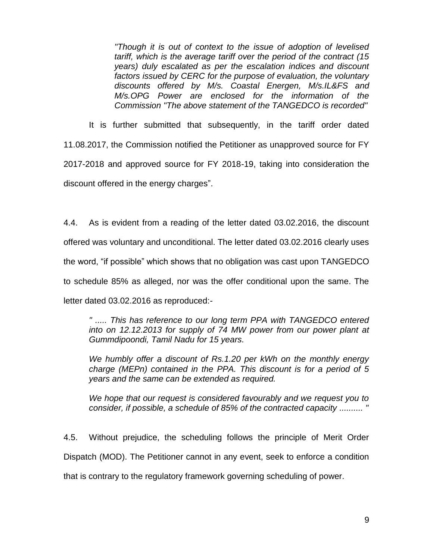*"Though it is out of context to the issue of adoption of levelised tariff, which is the average tariff over the period of the contract (15 years) duly escalated as per the escalation indices and discount factors issued by CERC for the purpose of evaluation, the voluntary discounts offered by M/s. Coastal Energen, M/s.IL&FS and M/s.OPG Power are enclosed for the information of the Commission "The above statement of the TANGEDCO is recorded"* 

It is further submitted that subsequently, in the tariff order dated 11.08.2017, the Commission notified the Petitioner as unapproved source for FY 2017-2018 and approved source for FY 2018-19, taking into consideration the discount offered in the energy charges".

4.4. As is evident from a reading of the letter dated 03.02.2016, the discount offered was voluntary and unconditional. The letter dated 03.02.2016 clearly uses the word, "if possible" which shows that no obligation was cast upon TANGEDCO to schedule 85% as alleged, nor was the offer conditional upon the same. The letter dated 03.02.2016 as reproduced:-

*" ..... This has reference to our long term PPA with TANGEDCO entered into on 12.12.2013 for supply of 74 MW power from our power plant at Gummdipoondi, Tamil Nadu for 15 years.*

*We humbly offer a discount of Rs.1.20 per kWh on the monthly energy charge (MEPn) contained in the PPA. This discount is for a period of 5 years and the same can be extended as required.* 

*We hope that our request is considered favourably and we request you to consider, if possible, a schedule of 85% of the contracted capacity .......... "* 

4.5. Without prejudice, the scheduling follows the principle of Merit Order Dispatch (MOD). The Petitioner cannot in any event, seek to enforce a condition that is contrary to the regulatory framework governing scheduling of power.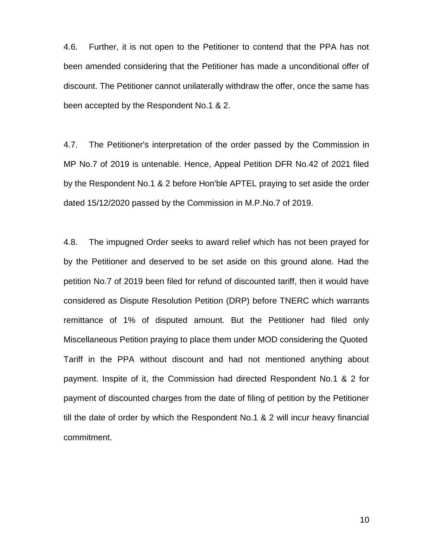4.6. Further, it is not open to the Petitioner to contend that the PPA has not been amended considering that the Petitioner has made a unconditional offer of discount. The Petitioner cannot unilaterally withdraw the offer, once the same has been accepted by the Respondent No.1 & 2.

4.7. The Petitioner's interpretation of the order passed by the Commission in MP No.7 of 2019 is untenable. Hence, Appeal Petition DFR No.42 of 2021 filed by the Respondent No.1 & 2 before Hon'ble APTEL praying to set aside the order dated 15/12/2020 passed by the Commission in M.P.No.7 of 2019.

4.8. The impugned Order seeks to award relief which has not been prayed for by the Petitioner and deserved to be set aside on this ground alone. Had the petition No.7 of 2019 been filed for refund of discounted tariff, then it would have considered as Dispute Resolution Petition (DRP) before TNERC which warrants remittance of 1% of disputed amount. But the Petitioner had filed only Miscellaneous Petition praying to place them under MOD considering the Quoted Tariff in the PPA without discount and had not mentioned anything about payment. Inspite of it, the Commission had directed Respondent No.1 & 2 for payment of discounted charges from the date of filing of petition by the Petitioner till the date of order by which the Respondent No.1 & 2 will incur heavy financial commitment.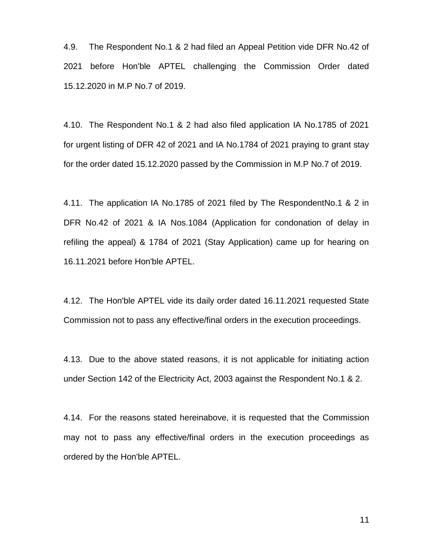4.9. The Respondent No.1 & 2 had filed an Appeal Petition vide DFR No.42 of 2021 before Hon'ble APTEL challenging the Commission Order dated 15.12.2020 in M.P No.7 of 2019.

4.10. The Respondent No.1 & 2 had also filed application IA No.1785 of 2021 for urgent listing of DFR 42 of 2021 and IA No.1784 of 2021 praying to grant stay for the order dated 15.12.2020 passed by the Commission in M.P No.7 of 2019.

4.11. The application IA No.1785 of 2021 filed by The RespondentNo.1 & 2 in DFR No.42 of 2021 & IA Nos.1084 (Application for condonation of delay in refiling the appeal) & 1784 of 2021 (Stay Application) came up for hearing on 16.11.2021 before Hon'ble APTEL.

4.12. The Hon'ble APTEL vide its daily order dated 16.11.2021 requested State Commission not to pass any effective/final orders in the execution proceedings.

4.13. Due to the above stated reasons, it is not applicable for initiating action under Section 142 of the Electricity Act, 2003 against the Respondent No.1 & 2.

4.14. For the reasons stated hereinabove, it is requested that the Commission may not to pass any effective/final orders in the execution proceedings as ordered by the Hon'ble APTEL.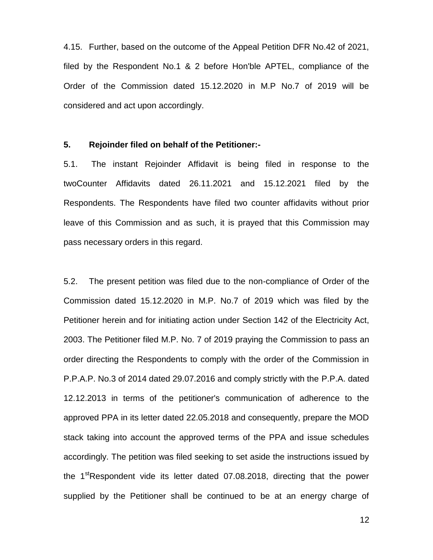4.15. Further, based on the outcome of the Appeal Petition DFR No.42 of 2021, filed by the Respondent No.1 & 2 before Hon'ble APTEL, compliance of the Order of the Commission dated 15.12.2020 in M.P No.7 of 2019 will be considered and act upon accordingly.

#### **5. Rejoinder filed on behalf of the Petitioner:-**

5.1. The instant Rejoinder Affidavit is being filed in response to the twoCounter Affidavits dated 26.11.2021 and 15.12.2021 filed by the Respondents. The Respondents have filed two counter affidavits without prior leave of this Commission and as such, it is prayed that this Commission may pass necessary orders in this regard.

5.2. The present petition was filed due to the non-compliance of Order of the Commission dated 15.12.2020 in M.P. No.7 of 2019 which was filed by the Petitioner herein and for initiating action under Section 142 of the Electricity Act, 2003. The Petitioner filed M.P. No. 7 of 2019 praying the Commission to pass an order directing the Respondents to comply with the order of the Commission in P.P.A.P. No.3 of 2014 dated 29.07.2016 and comply strictly with the P.P.A. dated 12.12.2013 in terms of the petitioner's communication of adherence to the approved PPA in its letter dated 22.05.2018 and consequently, prepare the MOD stack taking into account the approved terms of the PPA and issue schedules accordingly. The petition was filed seeking to set aside the instructions issued by the  $1<sup>st</sup>$ Respondent vide its letter dated 07.08.2018, directing that the power supplied by the Petitioner shall be continued to be at an energy charge of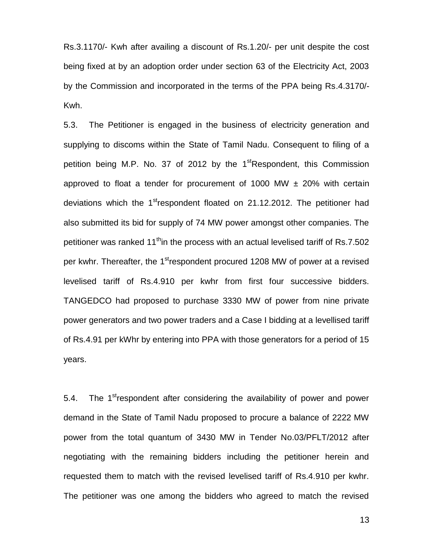Rs.3.1170/- Kwh after availing a discount of Rs.1.20/- per unit despite the cost being fixed at by an adoption order under section 63 of the Electricity Act, 2003 by the Commission and incorporated in the terms of the PPA being Rs.4.3170/- Kwh.

5.3. The Petitioner is engaged in the business of electricity generation and supplying to discoms within the State of Tamil Nadu. Consequent to filing of a petition being M.P. No. 37 of 2012 by the 1<sup>st</sup>Respondent, this Commission approved to float a tender for procurement of 1000 MW  $\pm$  20% with certain deviations which the 1<sup>st</sup>respondent floated on 21.12.2012. The petitioner had also submitted its bid for supply of 74 MW power amongst other companies. The petitioner was ranked 11<sup>th</sup>in the process with an actual levelised tariff of Rs.7.502 per kwhr. Thereafter, the 1<sup>st</sup>respondent procured 1208 MW of power at a revised levelised tariff of Rs.4.910 per kwhr from first four successive bidders. TANGEDCO had proposed to purchase 3330 MW of power from nine private power generators and two power traders and a Case I bidding at a levellised tariff of Rs.4.91 per kWhr by entering into PPA with those generators for a period of 15 years.

5.4. The 1<sup>st</sup>respondent after considering the availability of power and power demand in the State of Tamil Nadu proposed to procure a balance of 2222 MW power from the total quantum of 3430 MW in Tender No.03/PFLT/2012 after negotiating with the remaining bidders including the petitioner herein and requested them to match with the revised levelised tariff of Rs.4.910 per kwhr. The petitioner was one among the bidders who agreed to match the revised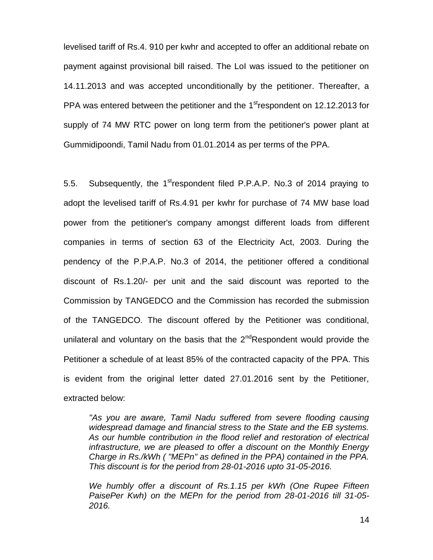levelised tariff of Rs.4. 910 per kwhr and accepted to offer an additional rebate on payment against provisional bill raised. The LoI was issued to the petitioner on 14.11.2013 and was accepted unconditionally by the petitioner. Thereafter, a PPA was entered between the petitioner and the  $1<sup>st</sup>$ respondent on 12.12.2013 for supply of 74 MW RTC power on long term from the petitioner's power plant at Gummidipoondi, Tamil Nadu from 01.01.2014 as per terms of the PPA.

5.5. Subsequently, the 1<sup>st</sup>respondent filed P.P.A.P. No.3 of 2014 praying to adopt the levelised tariff of Rs.4.91 per kwhr for purchase of 74 MW base load power from the petitioner's company amongst different loads from different companies in terms of section 63 of the Electricity Act, 2003. During the pendency of the P.P.A.P. No.3 of 2014, the petitioner offered a conditional discount of Rs.1.20/- per unit and the said discount was reported to the Commission by TANGEDCO and the Commission has recorded the submission of the TANGEDCO. The discount offered by the Petitioner was conditional, unilateral and voluntary on the basis that the  $2^{nd}$ Respondent would provide the Petitioner a schedule of at least 85% of the contracted capacity of the PPA. This is evident from the original letter dated 27.01.2016 sent by the Petitioner, extracted below:

*"As you are aware, Tamil Nadu suffered from severe flooding causing widespread damage and financial stress to the State and the EB systems. As our humble contribution in the flood relief and restoration of electrical infrastructure, we are pleased to offer a discount on the Monthly Energy Charge in Rs./kWh ( "MEPn" as defined in the PPA) contained in the PPA. This discount is for the period from 28-01-2016 upto 31-05-2016.* 

*We humbly offer a discount of Rs.1.15 per kWh (One Rupee Fifteen PaisePer Kwh) on the MEPn for the period from 28-01-2016 till 31-05- 2016.*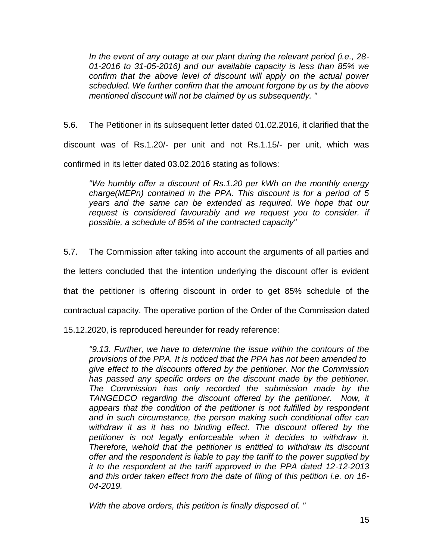*In the event of any outage at our plant during the relevant period (i.e., 28- 01-2016 to 31-05-2016) and our available capacity is less than 85% we confirm that the above level of discount will apply on the actual power scheduled. We further confirm that the amount forgone by us by the above mentioned discount will not be claimed by us subsequently. "* 

5.6. The Petitioner in its subsequent letter dated 01.02.2016, it clarified that the

discount was of Rs.1.20/- per unit and not Rs.1.15/- per unit, which was

confirmed in its letter dated 03.02.2016 stating as follows:

*"We humbly offer a discount of Rs.1.20 per kWh on the monthly energy charge(MEPn) contained in the PPA. This discount is for a period of 5 years and the same can be extended as required. We hope that our*  request is considered favourably and we request you to consider. if *possible, a schedule of 85% of the contracted capacity"* 

5.7. The Commission after taking into account the arguments of all parties and

the letters concluded that the intention underlying the discount offer is evident

that the petitioner is offering discount in order to get 85% schedule of the

contractual capacity. The operative portion of the Order of the Commission dated

15.12.2020, is reproduced hereunder for ready reference:

*"9.13. Further, we have to determine the issue within the contours of the provisions of the PPA. It is noticed that the PPA has not been amended to give effect to the discounts offered by the petitioner. Nor the Commission has passed any specific orders on the discount made by the petitioner. The Commission has only recorded the submission made by the TANGEDCO regarding the discount offered by the petitioner. Now, it appears that the condition of the petitioner is not fulfilled by respondent and in such circumstance, the person making such conditional offer can withdraw it as it has no binding effect. The discount offered by the petitioner is not legally enforceable when it decides to withdraw it. Therefore, wehold that the petitioner is entitled to withdraw its discount offer and the respondent is liable to pay the tariff to the power supplied by it to the respondent at the tariff approved in the PPA dated 12-12-2013 and this order taken effect from the date of filing of this petition i.e. on 16- 04-2019.*

*With the above orders, this petition is finally disposed of. "*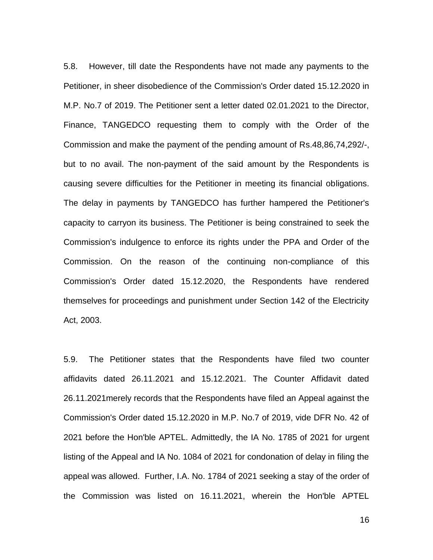5.8. However, till date the Respondents have not made any payments to the Petitioner, in sheer disobedience of the Commission's Order dated 15.12.2020 in M.P. No.7 of 2019. The Petitioner sent a letter dated 02.01.2021 to the Director, Finance, TANGEDCO requesting them to comply with the Order of the Commission and make the payment of the pending amount of Rs.48,86,74,292/-, but to no avail. The non-payment of the said amount by the Respondents is causing severe difficulties for the Petitioner in meeting its financial obligations. The delay in payments by TANGEDCO has further hampered the Petitioner's capacity to carryon its business. The Petitioner is being constrained to seek the Commission's indulgence to enforce its rights under the PPA and Order of the Commission. On the reason of the continuing non-compliance of this Commission's Order dated 15.12.2020, the Respondents have rendered themselves for proceedings and punishment under Section 142 of the Electricity Act, 2003.

5.9. The Petitioner states that the Respondents have filed two counter affidavits dated 26.11.2021 and 15.12.2021. The Counter Affidavit dated 26.11.2021merely records that the Respondents have filed an Appeal against the Commission's Order dated 15.12.2020 in M.P. No.7 of 2019, vide DFR No. 42 of 2021 before the Hon'ble APTEL. Admittedly, the IA No. 1785 of 2021 for urgent listing of the Appeal and IA No. 1084 of 2021 for condonation of delay in filing the appeal was allowed. Further, I.A. No. 1784 of 2021 seeking a stay of the order of the Commission was listed on 16.11.2021, wherein the Hon'ble APTEL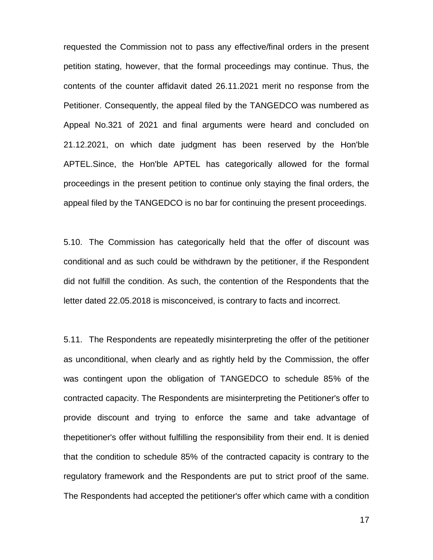requested the Commission not to pass any effective/final orders in the present petition stating, however, that the formal proceedings may continue. Thus, the contents of the counter affidavit dated 26.11.2021 merit no response from the Petitioner. Consequently, the appeal filed by the TANGEDCO was numbered as Appeal No.321 of 2021 and final arguments were heard and concluded on 21.12.2021, on which date judgment has been reserved by the Hon'ble APTEL.Since, the Hon'ble APTEL has categorically allowed for the formal proceedings in the present petition to continue only staying the final orders, the appeal filed by the TANGEDCO is no bar for continuing the present proceedings.

5.10. The Commission has categorically held that the offer of discount was conditional and as such could be withdrawn by the petitioner, if the Respondent did not fulfill the condition. As such, the contention of the Respondents that the letter dated 22.05.2018 is misconceived, is contrary to facts and incorrect.

5.11. The Respondents are repeatedly misinterpreting the offer of the petitioner as unconditional, when clearly and as rightly held by the Commission, the offer was contingent upon the obligation of TANGEDCO to schedule 85% of the contracted capacity. The Respondents are misinterpreting the Petitioner's offer to provide discount and trying to enforce the same and take advantage of thepetitioner's offer without fulfilling the responsibility from their end. It is denied that the condition to schedule 85% of the contracted capacity is contrary to the regulatory framework and the Respondents are put to strict proof of the same. The Respondents had accepted the petitioner's offer which came with a condition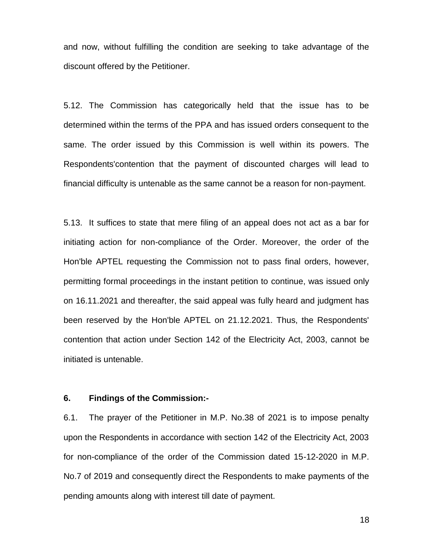and now, without fulfilling the condition are seeking to take advantage of the discount offered by the Petitioner.

5.12. The Commission has categorically held that the issue has to be determined within the terms of the PPA and has issued orders consequent to the same. The order issued by this Commission is well within its powers. The Respondents'contention that the payment of discounted charges will lead to financial difficulty is untenable as the same cannot be a reason for non-payment.

5.13. It suffices to state that mere filing of an appeal does not act as a bar for initiating action for non-compliance of the Order. Moreover, the order of the Hon'ble APTEL requesting the Commission not to pass final orders, however, permitting formal proceedings in the instant petition to continue, was issued only on 16.11.2021 and thereafter, the said appeal was fully heard and judgment has been reserved by the Hon'ble APTEL on 21.12.2021. Thus, the Respondents' contention that action under Section 142 of the Electricity Act, 2003, cannot be initiated is untenable.

## **6. Findings of the Commission:-**

6.1. The prayer of the Petitioner in M.P. No.38 of 2021 is to impose penalty upon the Respondents in accordance with section 142 of the Electricity Act, 2003 for non-compliance of the order of the Commission dated 15-12-2020 in M.P. No.7 of 2019 and consequently direct the Respondents to make payments of the pending amounts along with interest till date of payment.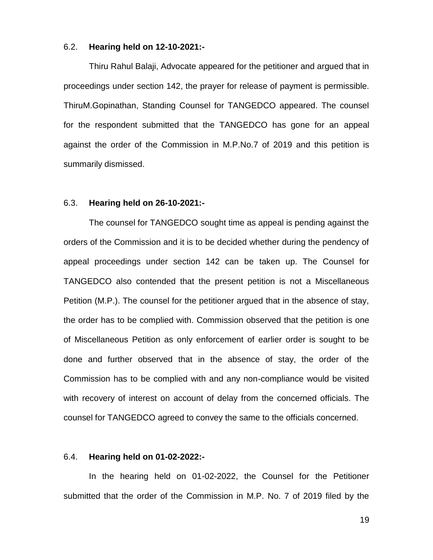#### 6.2. **Hearing held on 12-10-2021:-**

Thiru Rahul Balaji, Advocate appeared for the petitioner and argued that in proceedings under section 142, the prayer for release of payment is permissible. ThiruM.Gopinathan, Standing Counsel for TANGEDCO appeared. The counsel for the respondent submitted that the TANGEDCO has gone for an appeal against the order of the Commission in M.P.No.7 of 2019 and this petition is summarily dismissed.

#### 6.3. **Hearing held on 26-10-2021:-**

The counsel for TANGEDCO sought time as appeal is pending against the orders of the Commission and it is to be decided whether during the pendency of appeal proceedings under section 142 can be taken up. The Counsel for TANGEDCO also contended that the present petition is not a Miscellaneous Petition (M.P.). The counsel for the petitioner argued that in the absence of stay, the order has to be complied with. Commission observed that the petition is one of Miscellaneous Petition as only enforcement of earlier order is sought to be done and further observed that in the absence of stay, the order of the Commission has to be complied with and any non-compliance would be visited with recovery of interest on account of delay from the concerned officials. The counsel for TANGEDCO agreed to convey the same to the officials concerned.

#### 6.4. **Hearing held on 01-02-2022:-**

In the hearing held on 01-02-2022, the Counsel for the Petitioner submitted that the order of the Commission in M.P. No. 7 of 2019 filed by the